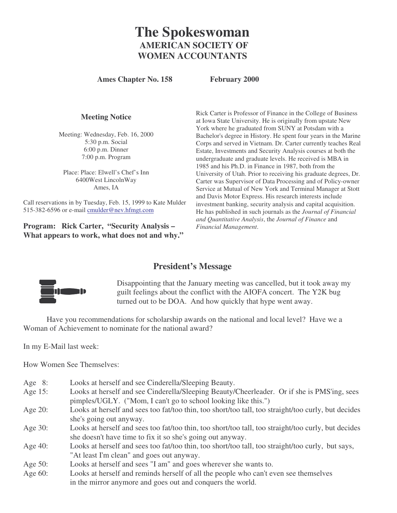# **The Spokeswoman AMERICAN SOCIETY OF WOMEN ACCOUNTANTS**

**Ames Chapter No. 158 February 2000**

#### **Meeting Notice**

Meeting: Wednesday, Feb. 16, 2000 5:30 p.m. Social 6:00 p.m. Dinner 7:00 p.m. Program

Place: Place: Elwell's Chef's Inn 6400West LincolnWay Ames, IA

Call reservations in by Tuesday, Feb. 15, 1999 to Kate Mulder 515-382-6596 or e-mail cmulder@nev.hfmgt.com

**Program: Rick Carter, "Security Analysis – What appears to work, what does not and why."** Rick Carter is Professor of Finance in the College of Business at Iowa State University. He is originally from upstate New York where he graduated from SUNY at Potsdam with a Bachelor's degree in History. He spent four years in the Marine Corps and served in Vietnam. Dr. Carter currently teaches Real Estate, Investments and Security Analysis courses at both the undergraduate and graduate levels. He received is MBA in 1985 and his Ph.D. in Finance in 1987, both from the University of Utah. Prior to receiving his graduate degrees, Dr. Carter was Supervisor of Data Processing and of Policy-owner Service at Mutual of New York and Terminal Manager at Stott and Davis Motor Express. His research interests include investment banking, security analysis and capital acquisition. He has published in such journals as the *Journal of Financial and Quantitative Analysis*, the *Journal of Finance* and *Financial Management*.

### **President's Message**



Disappointing that the January meeting was cancelled, but it took away my guilt feelings about the conflict with the AIOFA concert. The Y2K bug turned out to be DOA. And how quickly that hype went away.

Have you recommendations for scholarship awards on the national and local level? Have we a Woman of Achievement to nominate for the national award?

In my E-Mail last week:

How Women See Themselves:

- Age 8: Looks at herself and see Cinderella/Sleeping Beauty.
- Age 15: Looks at herself and see Cinderella/Sleeping Beauty/Cheerleader. Or if she is PMS'ing, sees pimples/UGLY. ("Mom, I can't go to school looking like this.")
- Age 20: Looks at herself and sees too fat/too thin, too short/too tall, too straight/too curly, but decides she's going out anyway.
- Age 30: Looks at herself and sees too fat/too thin, too short/too tall, too straight/too curly, but decides she doesn't have time to fix it so she's going out anyway.
- Age 40: Looks at herself and sees too fat/too thin, too short/too tall, too straight/too curly, but says, "At least I'm clean" and goes out anyway.
- Age 50: Looks at herself and sees "I am" and goes wherever she wants to.
- Age 60: Looks at herself and reminds herself of all the people who can't even see themselves in the mirror anymore and goes out and conquers the world.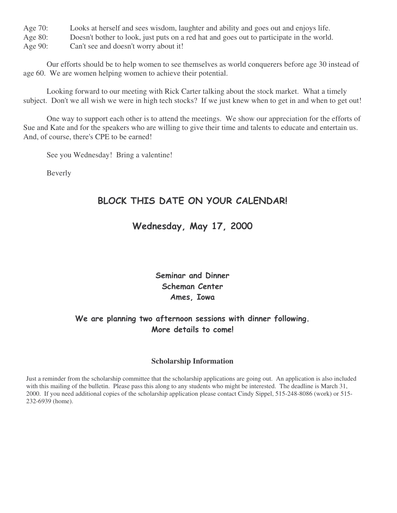Age 70: Looks at herself and sees wisdom, laughter and ability and goes out and enjoys life.

Age 80: Doesn't bother to look, just puts on a red hat and goes out to participate in the world.

Age 90: Can't see and doesn't worry about it!

Our efforts should be to help women to see themselves as world conquerers before age 30 instead of age 60. We are women helping women to achieve their potential.

Looking forward to our meeting with Rick Carter talking about the stock market. What a timely subject. Don't we all wish we were in high tech stocks? If we just knew when to get in and when to get out!

One way to support each other is to attend the meetings. We show our appreciation for the efforts of Sue and Kate and for the speakers who are willing to give their time and talents to educate and entertain us. And, of course, there's CPE to be earned!

See you Wednesday! Bring a valentine!

Beverly

# BLOCK THIS DATE ON YOUR CALENDAR!

# Wednesday, May 17, 2000

# Seminar and Dinner Scheman Center Ames, Iowa

## We are planning two afternoon sessions with dinner following. More details to come!

#### **Scholarship Information**

Just a reminder from the scholarship committee that the scholarship applications are going out. An application is also included with this mailing of the bulletin. Please pass this along to any students who might be interested. The deadline is March 31, 2000. If you need additional copies of the scholarship application please contact Cindy Sippel, 515-248-8086 (work) or 515- 232-6939 (home).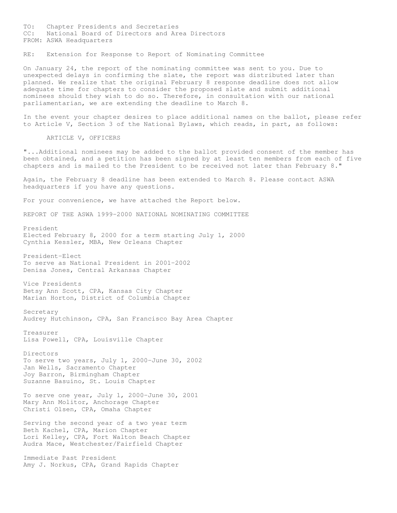TO: Chapter Presidents and Secretaries CC: National Board of Directors and Area Directors FROM: ASWA Headquarters

RE: Extension for Response to Report of Nominating Committee

On January 24, the report of the nominating committee was sent to you. Due to unexpected delays in confirming the slate, the report was distributed later than planned. We realize that the original February 8 response deadline does not allow adequate time for chapters to consider the proposed slate and submit additional nominees should they wish to do so. Therefore, in consultation with our national parliamentarian, we are extending the deadline to March 8.

In the event your chapter desires to place additional names on the ballot, please refer to Article V, Section 3 of the National Bylaws, which reads, in part, as follows:

ARTICLE V, OFFICERS

"...Additional nominees may be added to the ballot provided consent of the member has been obtained, and a petition has been signed by at least ten members from each of five chapters and is mailed to the President to be received not later than February 8."

Again, the February 8 deadline has been extended to March 8. Please contact ASWA headquarters if you have any questions.

For your convenience, we have attached the Report below.

REPORT OF THE ASWA 1999-2000 NATIONAL NOMINATING COMMITTEE

President Elected February 8, 2000 for a term starting July 1, 2000 Cynthia Kessler, MBA, New Orleans Chapter

President-Elect To serve as National President in 2001-2002 Denisa Jones, Central Arkansas Chapter

Vice Presidents Betsy Ann Scott, CPA, Kansas City Chapter Marian Horton, District of Columbia Chapter

Secretary Audrey Hutchinson, CPA, San Francisco Bay Area Chapter

Treasurer Lisa Powell, CPA, Louisville Chapter

Directors To serve two years, July 1, 2000-June 30, 2002 Jan Wells, Sacramento Chapter Joy Barron, Birmingham Chapter Suzanne Basuino, St. Louis Chapter

To serve one year, July 1, 2000-June 30, 2001 Mary Ann Molitor, Anchorage Chapter Christi Olsen, CPA, Omaha Chapter

Serving the second year of a two year term Beth Kachel, CPA, Marion Chapter Lori Kelley, CPA, Fort Walton Beach Chapter Audra Mace, Westchester/Fairfield Chapter

Immediate Past President Amy J. Norkus, CPA, Grand Rapids Chapter